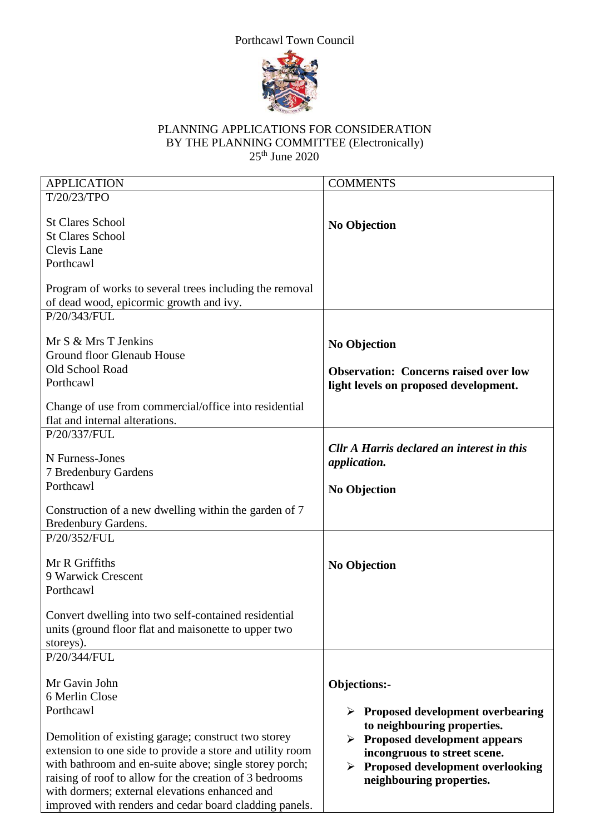



## PLANNING APPLICATIONS FOR CONSIDERATION BY THE PLANNING COMMITTEE (Electronically)  $25<sup>th</sup>$  June 2020

| <b>APPLICATION</b>                                        | <b>COMMENTS</b>                                   |
|-----------------------------------------------------------|---------------------------------------------------|
| T/20/23/TPO                                               |                                                   |
|                                                           |                                                   |
| <b>St Clares School</b>                                   | <b>No Objection</b>                               |
| <b>St Clares School</b>                                   |                                                   |
| Clevis Lane                                               |                                                   |
| Porthcawl                                                 |                                                   |
|                                                           |                                                   |
| Program of works to several trees including the removal   |                                                   |
| of dead wood, epicormic growth and ivy.                   |                                                   |
| P/20/343/FUL                                              |                                                   |
|                                                           |                                                   |
| Mr S & Mrs T Jenkins                                      | <b>No Objection</b>                               |
| Ground floor Glenaub House                                |                                                   |
| Old School Road                                           | <b>Observation: Concerns raised over low</b>      |
| Porthcawl                                                 | light levels on proposed development.             |
|                                                           |                                                   |
| Change of use from commercial/office into residential     |                                                   |
| flat and internal alterations.                            |                                                   |
| P/20/337/FUL                                              |                                                   |
|                                                           | Cllr A Harris declared an interest in this        |
| N Furness-Jones                                           | application.                                      |
| 7 Bredenbury Gardens                                      |                                                   |
| Porthcawl                                                 | <b>No Objection</b>                               |
|                                                           |                                                   |
| Construction of a new dwelling within the garden of 7     |                                                   |
| <b>Bredenbury Gardens.</b>                                |                                                   |
| P/20/352/FUL                                              |                                                   |
|                                                           |                                                   |
| Mr R Griffiths                                            | <b>No Objection</b>                               |
| 9 Warwick Crescent                                        |                                                   |
| Porthcawl                                                 |                                                   |
|                                                           |                                                   |
| Convert dwelling into two self-contained residential      |                                                   |
| units (ground floor flat and maisonette to upper two      |                                                   |
| storeys).                                                 |                                                   |
| P/20/344/FUL                                              |                                                   |
| Mr Gavin John                                             |                                                   |
| 6 Merlin Close                                            | Objections:-                                      |
|                                                           |                                                   |
| Porthcawl                                                 | $\triangleright$ Proposed development overbearing |
|                                                           | to neighbouring properties.                       |
| Demolition of existing garage; construct two storey       | $\triangleright$ Proposed development appears     |
| extension to one side to provide a store and utility room | incongruous to street scene.                      |
| with bathroom and en-suite above; single storey porch;    | <b>Proposed development overlooking</b>           |
| raising of roof to allow for the creation of 3 bedrooms   | neighbouring properties.                          |
| with dormers; external elevations enhanced and            |                                                   |
| improved with renders and cedar board cladding panels.    |                                                   |